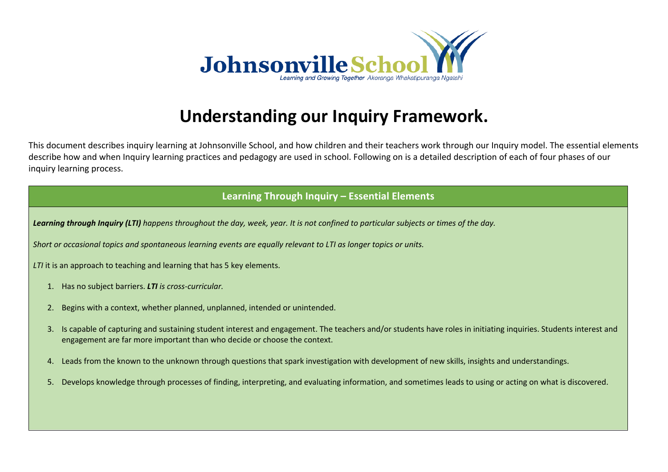

## **Understanding our Inquiry Framework.**

This document describes inquiry learning at Johnsonville School, and how children and their teachers work through our Inquiry model. The essential elements describe how and when Inquiry learning practices and pedagogy are used in school. Following on is a detailed description of each of four phases of our inquiry learning process.

## **Learning Through Inquiry – Essential Elements**

*Learning through Inquiry (LTI) happens throughout the day, week, year. It is not confined to particular subjects or times of the day.*

*Short or occasional topics and spontaneous learning events are equally relevant to LTI as longer topics or units.*

*LTI* it is an approach to teaching and learning that has 5 key elements.

- 1. Has no subject barriers. *LTI is cross-curricular.*
- 2. Begins with a context, whether planned, unplanned, intended or unintended.
- 3. Is capable of capturing and sustaining student interest and engagement. The teachers and/or students have roles in initiating inquiries. Students interest and engagement are far more important than who decide or choose the context.
- 4. Leads from the known to the unknown through questions that spark investigation with development of new skills, insights and understandings.
- 5. Develops knowledge through processes of finding, interpreting, and evaluating information, and sometimes leads to using or acting on what is discovered.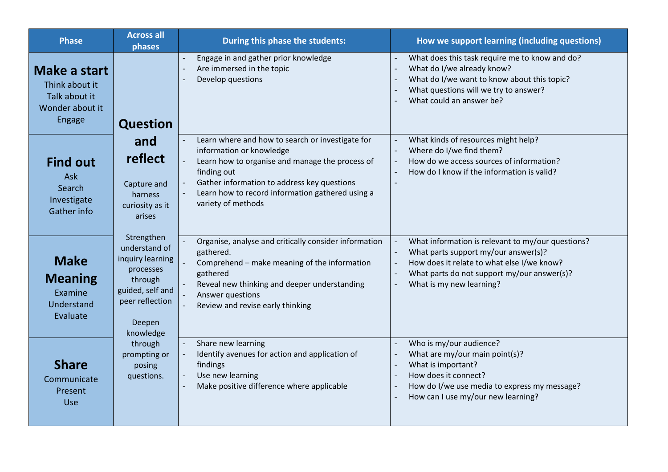| <b>Phase</b>                                                                 | <b>Across all</b><br>phases                                                                                                           | During this phase the students:                                                                                                                                                                                                                                         | How we support learning (including questions)                                                                                                                                                                      |
|------------------------------------------------------------------------------|---------------------------------------------------------------------------------------------------------------------------------------|-------------------------------------------------------------------------------------------------------------------------------------------------------------------------------------------------------------------------------------------------------------------------|--------------------------------------------------------------------------------------------------------------------------------------------------------------------------------------------------------------------|
| Make a start<br>Think about it<br>Talk about it<br>Wonder about it<br>Engage | <b>Question</b>                                                                                                                       | Engage in and gather prior knowledge<br>Are immersed in the topic<br>Develop questions                                                                                                                                                                                  | What does this task require me to know and do?<br>What do I/we already know?<br>What do I/we want to know about this topic?<br>What questions will we try to answer?<br>What could an answer be?                   |
| <b>Find out</b><br>Ask<br>Search<br>Investigate<br>Gather info               | and<br>reflect<br>Capture and<br>harness<br>curiosity as it<br>arises                                                                 | Learn where and how to search or investigate for<br>information or knowledge<br>Learn how to organise and manage the process of<br>finding out<br>Gather information to address key questions<br>Learn how to record information gathered using a<br>variety of methods | What kinds of resources might help?<br>Where do I/we find them?<br>How do we access sources of information?<br>How do I know if the information is valid?                                                          |
| <b>Make</b><br><b>Meaning</b><br>Examine<br>Understand<br>Evaluate           | Strengthen<br>understand of<br>inquiry learning<br>processes<br>through<br>guided, self and<br>peer reflection<br>Deepen<br>knowledge | Organise, analyse and critically consider information<br>gathered.<br>Comprehend - make meaning of the information<br>gathered<br>Reveal new thinking and deeper understanding<br>Answer questions<br>Review and revise early thinking                                  | What information is relevant to my/our questions?<br>What parts support my/our answer(s)?<br>How does it relate to what else I/we know?<br>What parts do not support my/our answer(s)?<br>What is my new learning? |
| <b>Share</b><br>Communicate<br>Present<br>Use                                | through<br>prompting or<br>posing<br>questions.                                                                                       | Share new learning<br>Identify avenues for action and application of<br>findings<br>Use new learning<br>Make positive difference where applicable                                                                                                                       | Who is my/our audience?<br>What are my/our main point(s)?<br>What is important?<br>How does it connect?<br>How do I/we use media to express my message?<br>How can I use my/our new learning?                      |